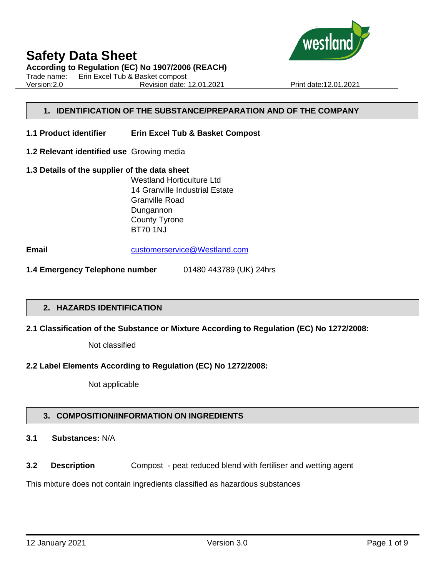

**According to Regulation (EC) No 1907/2006 (REACH)**

Trade name: Erin Excel Tub & Basket compost Version:2.0 Revision date: 12.01.2021 Print date:12.01.2021

# **1. IDENTIFICATION OF THE SUBSTANCE/PREPARATION AND OF THE COMPANY**

- **1.1 Product identifier Erin Excel Tub & Basket Compost**
- **1.2 Relevant identified use** Growing media
- **1.3 Details of the supplier of the data sheet** Westland Horticulture Ltd 14 Granville Industrial Estate Granville Road Dungannon County Tyrone BT70 1NJ

**Email** [customerservice@Westland.com](mailto:customerservice@Westland.com)

**1.4 Emergency Telephone number** 01480 443789 (UK) 24hrs

#### **2. HAZARDS IDENTIFICATION**

#### **2.1 Classification of the Substance or Mixture According to Regulation (EC) No 1272/2008:**

Not classified

#### **2.2 Label Elements According to Regulation (EC) No 1272/2008:**

Not applicable

#### **3. COMPOSITION/INFORMATION ON INGREDIENTS**

# **3.1 Substances:** N/A

**3.2 Description** Compost - peat reduced blend with fertiliser and wetting agent

This mixture does not contain ingredients classified as hazardous substances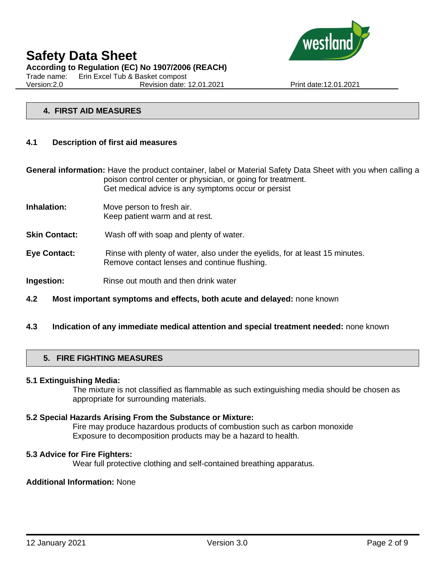

**According to Regulation (EC) No 1907/2006 (REACH)**

Trade name: Erin Excel Tub & Basket compost

Version:2.0 Revision date: 12.01.2021 Print date:12.01.2021

#### **4. FIRST AID MEASURES**

#### **4.1 Description of first aid measures**

**General information:** Have the product container, label or Material Safety Data Sheet with you when calling a poison control center or physician, or going for treatment. Get medical advice is any symptoms occur or persist

- **Inhalation:** Move person to fresh air. Keep patient warm and at rest.
- **Skin Contact:** Wash off with soap and plenty of water.
- **Eye Contact:** Rinse with plenty of water, also under the eyelids, for at least 15 minutes. Remove contact lenses and continue flushing.
- **Ingestion:** Rinse out mouth and then drink water
- **4.2 Most important symptoms and effects, both acute and delayed:** none known
- **4.3 Indication of any immediate medical attention and special treatment needed:** none known

# **5. FIRE FIGHTING MEASURES**

#### **5.1 Extinguishing Media:**

The mixture is not classified as flammable as such extinguishing media should be chosen as appropriate for surrounding materials.

#### **5.2 Special Hazards Arising From the Substance or Mixture:**

Fire may produce hazardous products of combustion such as carbon monoxide Exposure to decomposition products may be a hazard to health.

#### **5.3 Advice for Fire Fighters:**

Wear full protective clothing and self-contained breathing apparatus.

# **Additional Information:** None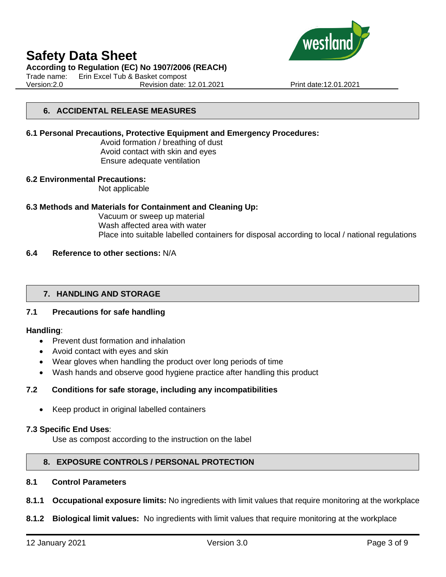

#### **According to Regulation (EC) No 1907/2006 (REACH)**

Trade name: Erin Excel Tub & Basket compost Version:2.0 Revision date: 12.01.2021 Print date:12.01.2021

# **6. ACCIDENTAL RELEASE MEASURES**

#### **6.1 Personal Precautions, Protective Equipment and Emergency Procedures:**

Avoid formation / breathing of dust Avoid contact with skin and eyes Ensure adequate ventilation

#### **6.2 Environmental Precautions:**

Not applicable

#### **6.3 Methods and Materials for Containment and Cleaning Up:**

Vacuum or sweep up material Wash affected area with water Place into suitable labelled containers for disposal according to local / national regulations

# **6.4 Reference to other sections:** N/A

# **7. HANDLING AND STORAGE**

# **7.1 Precautions for safe handling**

#### **Handling**:

- Prevent dust formation and inhalation
- Avoid contact with eyes and skin
- Wear gloves when handling the product over long periods of time
- Wash hands and observe good hygiene practice after handling this product

# **7.2 Conditions for safe storage, including any incompatibilities**

• Keep product in original labelled containers

#### **7.3 Specific End Uses**:

Use as compost according to the instruction on the label

# **8. EXPOSURE CONTROLS / PERSONAL PROTECTION**

# **8.1 Control Parameters**

- **8.1.1 Occupational exposure limits:** No ingredients with limit values that require monitoring at the workplace
- **8.1.2 Biological limit values:** No ingredients with limit values that require monitoring at the workplace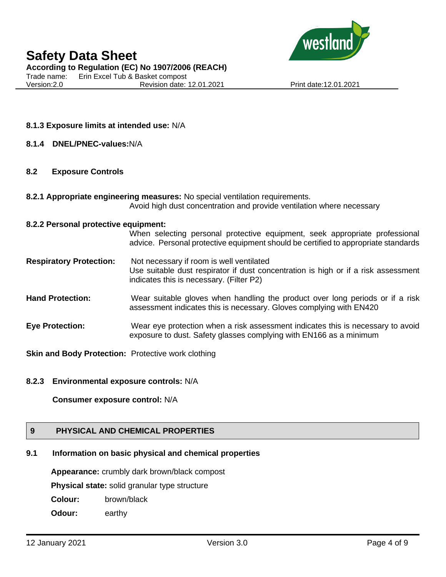

**According to Regulation (EC) No 1907/2006 (REACH)**

Trade name: Erin Excel Tub & Basket compost Version:2.0 Revision date: 12.01.2021 Print date:12.01.2021

# **8.1.3 Exposure limits at intended use:** N/A

#### **8.1.4 DNEL/PNEC-values:**N/A

#### **8.2 Exposure Controls**

**8.2.1 Appropriate engineering measures:** No special ventilation requirements. Avoid high dust concentration and provide ventilation where necessary

#### **8.2.2 Personal protective equipment:**

When selecting personal protective equipment, seek appropriate professional advice. Personal protective equipment should be certified to appropriate standards

- **Respiratory Protection:** Not necessary if room is well ventilated Use suitable dust respirator if dust concentration is high or if a risk assessment indicates this is necessary. (Filter P2)
- **Hand Protection:** Wear suitable gloves when handling the product over long periods or if a risk assessment indicates this is necessary. Gloves complying with EN420
- **Eye Protection:** Wear eye protection when a risk assessment indicates this is necessary to avoid exposure to dust. Safety glasses complying with EN166 as a minimum

**Skin and Body Protection:** Protective work clothing

#### **8.2.3 Environmental exposure controls:** N/A

#### **Consumer exposure control:** N/A

# **9 PHYSICAL AND CHEMICAL PROPERTIES**

# **9.1 Information on basic physical and chemical properties**

**Appearance:** crumbly dark brown/black compost

**Physical state:** solid granular type structure

**Colour:** brown/black

**Odour:** earthy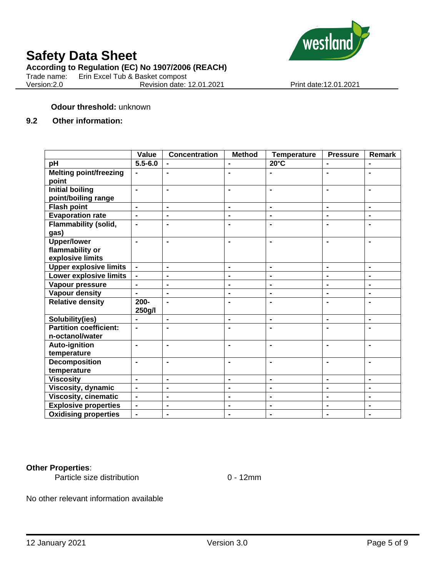

#### **According to Regulation (EC) No 1907/2006 (REACH)**

Trade name: Erin Excel Tub & Basket compost

Version:2.0 Revision date: 12.01.2021 Print date:12.01.2021

# **Odour threshold:** unknown

# **9.2 Other information:**

|                               | Value          | <b>Concentration</b> | <b>Method</b>                | <b>Temperature</b> | <b>Pressure</b> | <b>Remark</b>                |
|-------------------------------|----------------|----------------------|------------------------------|--------------------|-----------------|------------------------------|
| pH                            | $5.5 - 6.0$    |                      |                              | $20^{\circ}$ C     |                 |                              |
| <b>Melting point/freezing</b> |                | ٠                    | $\blacksquare$               |                    | $\blacksquare$  | $\blacksquare$               |
| point                         |                |                      |                              |                    |                 |                              |
| <b>Initial boiling</b>        | $\blacksquare$ | Ē.                   | $\blacksquare$               | $\blacksquare$     | $\blacksquare$  | $\blacksquare$               |
| point/boiling range           |                |                      |                              |                    |                 |                              |
| <b>Flash point</b>            | $\blacksquare$ | $\blacksquare$       | ۰                            | $\blacksquare$     | $\blacksquare$  | $\blacksquare$               |
| <b>Evaporation rate</b>       | $\blacksquare$ | $\blacksquare$       | $\blacksquare$               | $\blacksquare$     | $\blacksquare$  | $\blacksquare$               |
| <b>Flammability (solid,</b>   | $\blacksquare$ | $\overline{a}$       | $\blacksquare$               | $\blacksquare$     |                 | $\blacksquare$               |
| gas)                          |                |                      |                              |                    |                 |                              |
| <b>Upper/lower</b>            |                | Ē.                   | $\blacksquare$               | $\blacksquare$     |                 |                              |
| flammability or               |                |                      |                              |                    |                 |                              |
| explosive limits              |                |                      |                              |                    |                 |                              |
| <b>Upper explosive limits</b> |                | $\blacksquare$       | $\blacksquare$               | $\blacksquare$     | $\blacksquare$  | $\blacksquare$               |
| Lower explosive limits        |                | Ē.                   | ۰                            | $\blacksquare$     | $\blacksquare$  | $\blacksquare$               |
| Vapour pressure               |                | ٠                    | ۰                            | $\blacksquare$     |                 | $\blacksquare$               |
| <b>Vapour density</b>         | $\blacksquare$ | $\blacksquare$       | $\blacksquare$               | $\blacksquare$     | $\blacksquare$  | $\qquad \qquad \blacksquare$ |
| <b>Relative density</b>       | $200 -$        | $\blacksquare$       | $\blacksquare$               | $\blacksquare$     | ۰               | $\blacksquare$               |
|                               | 250g/l         |                      |                              |                    |                 |                              |
| Solubility(ies)               | $\blacksquare$ | $\blacksquare$       | ۰                            | $\blacksquare$     | $\blacksquare$  | $\qquad \qquad \blacksquare$ |
| <b>Partition coefficient:</b> | ä,             | L,                   | $\blacksquare$               | $\blacksquare$     |                 |                              |
| n-octanol/water               |                |                      |                              |                    |                 |                              |
| <b>Auto-ignition</b>          | $\blacksquare$ | $\blacksquare$       | ۰                            | $\blacksquare$     | $\blacksquare$  | $\blacksquare$               |
| temperature                   |                |                      |                              |                    |                 |                              |
| <b>Decomposition</b>          | $\blacksquare$ | L.                   | $\blacksquare$               | $\blacksquare$     |                 |                              |
| temperature                   |                |                      |                              |                    |                 |                              |
| <b>Viscosity</b>              | $\blacksquare$ | $\blacksquare$       | $\blacksquare$               | $\blacksquare$     | $\blacksquare$  | $\blacksquare$               |
| Viscosity, dynamic            | $\blacksquare$ | $\blacksquare$       | $\blacksquare$               | $\blacksquare$     | $\blacksquare$  | $\blacksquare$               |
| <b>Viscosity, cinematic</b>   | $\blacksquare$ | $\blacksquare$       | $\qquad \qquad \blacksquare$ | $\blacksquare$     | $\blacksquare$  | $\blacksquare$               |
| <b>Explosive properties</b>   | $\blacksquare$ | ٠                    | -                            | $\blacksquare$     | $\blacksquare$  | $\blacksquare$               |
| <b>Oxidising properties</b>   | $\blacksquare$ | $\blacksquare$       | $\blacksquare$               | $\blacksquare$     |                 | -                            |

#### **Other Properties**:

Particle size distribution 0 - 12mm

No other relevant information available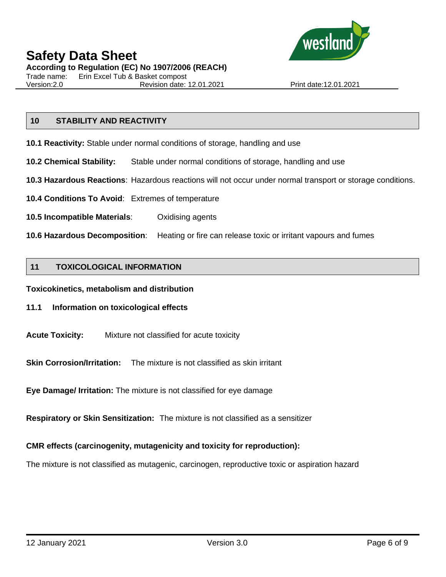

# **Safety Data Sheet According to Regulation (EC) No 1907/2006 (REACH)**

Trade name: Erin Excel Tub & Basket compost

Version:2.0 Revision date: 12.01.2021 Print date:12.01.2021

# **10 STABILITY AND REACTIVITY**

- **10.1 Reactivity:** Stable under normal conditions of storage, handling and use
- **10.2 Chemical Stability:** Stable under normal conditions of storage, handling and use
- **10.3 Hazardous Reactions**: Hazardous reactions will not occur under normal transport or storage conditions.
- **10.4 Conditions To Avoid**: Extremes of temperature
- **10.5 Incompatible Materials**: Oxidising agents
- **10.6 Hazardous Decomposition**: Heating or fire can release toxic or irritant vapours and fumes

#### **11 TOXICOLOGICAL INFORMATION**

**Toxicokinetics, metabolism and distribution**

#### **11.1 Information on toxicological effects**

**Acute Toxicity:** Mixture not classified for acute toxicity

**Skin Corrosion/Irritation:** The mixture is not classified as skin irritant

**Eye Damage/ Irritation:** The mixture is not classified for eye damage

**Respiratory or Skin Sensitization:** The mixture is not classified as a sensitizer

# **CMR effects (carcinogenity, mutagenicity and toxicity for reproduction):**

The mixture is not classified as mutagenic, carcinogen, reproductive toxic or aspiration hazard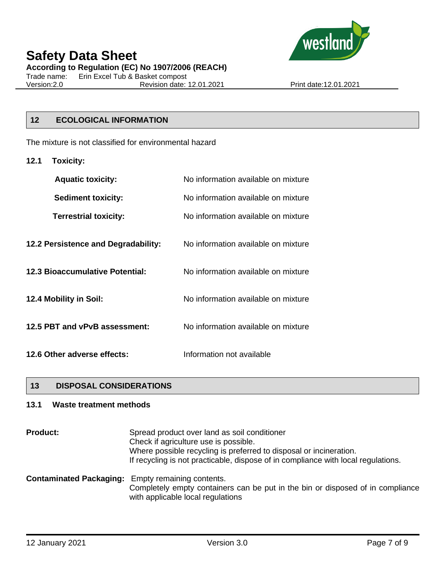

**According to Regulation (EC) No 1907/2006 (REACH)**

Trade name: Erin Excel Tub & Basket compost Version:2.0 Revision date: 12.01.2021 Print date:12.01.2021

# **12 ECOLOGICAL INFORMATION**

The mixture is not classified for environmental hazard

**12.1 Toxicity:**

| <b>Aquatic toxicity:</b>            | No information available on mixture |  |  |
|-------------------------------------|-------------------------------------|--|--|
| <b>Sediment toxicity:</b>           | No information available on mixture |  |  |
| <b>Terrestrial toxicity:</b>        | No information available on mixture |  |  |
| 12.2 Persistence and Degradability: | No information available on mixture |  |  |
| 12.3 Bioaccumulative Potential:     | No information available on mixture |  |  |
| 12.4 Mobility in Soil:              | No information available on mixture |  |  |
| 12.5 PBT and vPvB assessment:       | No information available on mixture |  |  |
| 12.6 Other adverse effects:         | Information not available           |  |  |

# **13 DISPOSAL CONSIDERATIONS**

# **13.1 Waste treatment methods**

| <b>Product:</b> | Spread product over land as soil conditioner<br>Check if agriculture use is possible.<br>Where possible recycling is preferred to disposal or incineration.<br>If recycling is not practicable, dispose of in compliance with local regulations. |
|-----------------|--------------------------------------------------------------------------------------------------------------------------------------------------------------------------------------------------------------------------------------------------|
|                 | <b>Contaminated Packaging:</b> Empty remaining contents.<br>Completely empty containers can be put in the bin or disposed of in compliance<br>with applicable local regulations                                                                  |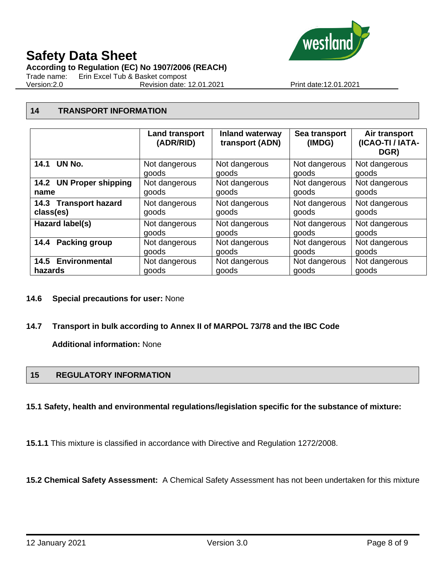

**According to Regulation (EC) No 1907/2006 (REACH)**

Trade name: Erin Excel Tub & Basket compost

Version:2.0 Revision date: 12.01.2021 Print date:12.01.2021

# **14 TRANSPORT INFORMATION**

|                         | <b>Land transport</b><br>(ADR/RID) | <b>Inland waterway</b><br>transport (ADN) | Sea transport<br>(IMDG) | Air transport<br>(ICAO-TI / IATA-<br>DGR) |
|-------------------------|------------------------------------|-------------------------------------------|-------------------------|-------------------------------------------|
| 14.1 UN No.             | Not dangerous                      | Not dangerous                             | Not dangerous           | Not dangerous                             |
|                         | goods                              | goods                                     | goods                   | goods                                     |
| 14.2 UN Proper shipping | Not dangerous                      | Not dangerous                             | Not dangerous           | Not dangerous                             |
| name                    | goods                              | goods                                     | goods                   | goods                                     |
| 14.3 Transport hazard   | Not dangerous                      | Not dangerous                             | Not dangerous           | Not dangerous                             |
| class(es)               | goods                              | goods                                     | goods                   | goods                                     |
| Hazard label(s)         | Not dangerous                      | Not dangerous                             | Not dangerous           | Not dangerous                             |
|                         | goods                              | goods                                     | goods                   | goods                                     |
| Packing group           | Not dangerous                      | Not dangerous                             | Not dangerous           | Not dangerous                             |
| 14.4                    | goods                              | goods                                     | goods                   | goods                                     |
| 14.5 Environmental      | Not dangerous                      | Not dangerous                             | Not dangerous           | Not dangerous                             |
| hazards                 | goods                              | goods                                     | goods                   | goods                                     |

# **14.6 Special precautions for user:** None

# **14.7 Transport in bulk according to Annex II of MARPOL 73/78 and the IBC Code**

**Additional information:** None

# **15 REGULATORY INFORMATION**

# **15.1 Safety, health and environmental regulations/legislation specific for the substance of mixture:**

**15.1.1** This mixture is classified in accordance with Directive and Regulation 1272/2008.

**15.2 Chemical Safety Assessment:** A Chemical Safety Assessment has not been undertaken for this mixture